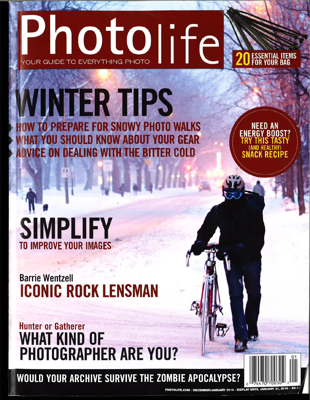## Inotolife YOUR GUIDE TO EVERYTHING PHOTO

## **MINTER TIPS TO PREPARE FOR SNOWY PHOTO WALKS YOU SHOULD KNOW ABOUT YOUR GEAR ADVICE ON DEALING WITH THE BITTER COLD**

**NEED AN** ENERGY BOOST



**Barrie Wentzell ICONIC ROCK LENSMAN** 

**Hunter or Gatherer** WHAT KIND OF **PHOTOGRAPHER ARE YOU?** 

WOULD YOUR ARCHIVE SURVIVE THE ZOMBIE APOCALYPSE?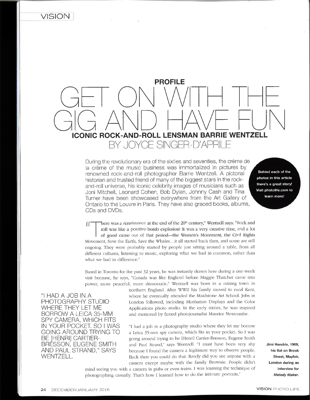

During the revolutionary era of the sixties and seventies, the crème de la crème of the music business was immorlalized in pictures by renowned rock-and-roll photographer Barrie Wentzell. A pictorial historian and trusted friend of many of the biggest stars in the rockand-roll universe, his iconic celebrity images of musicians such as Joni Mitchell, Leonard Cohen, Bob Dylan, Johnny Cash and Tina Turner have been showcased everywhere from the Art Gallery of Ontario to the Louvre in Parìs. They have also graced books, albums, CDs and DVDs.

Behind each of the photos in this article there's a great story! Visit photolife.com to learn morel

 $\int$   $\int$  here was a renaissance at the end of the 20<sup>th</sup> century," Wentzell says. "Rock and roll was like a positive-bomb explosion! It was a very creative time, and a lot of good came out of that period-the Women's Movement, the Civil Rights Movement, Save the Earth, Save the Whales...it all started back then, and some are still ongoing. They were probably started by people just sitting around a table, from all different cultures, listening to music, exploring what we had in common, rather than what we had in difference."

Based in Toronto for the past 32 years, he was instantly drawn here during a one-week visit because, he says, "Canada was like England before Maggie Thatcher came into power, more peaceful, more democratic." Wentzell was born in a mining town in

SPY CAMERA, WHICH FITS<br>IN YOUR POCKET, SO I WAS

northern England. After WWII his family moved to rural Kent, "I HAD A JOB IN A where he eventually attended the Maidstone Art School. Jobs in<br>PHOTOGRAPHY STUDIO London followed, including Manhattan Displays and the Color PHOTOGRAPHY STUDIO London followed, including Manhattan Displays and the Color<br>WHERE THEY LET ME Applications photo studio. In the early sixties, he was inspired WHERE THEY LET ME<br>BORROW A LEICA 35-MM and mentored by famed photojournalist Maurice Newcombe. and mentored by famed photojournalist Maurice Newcombe.

IN YOUR POCKET. SO I WAS "I had a job in a photography studio where they let me borrow<br>GOING AROUND TRYING TO a Leica 35-mm sov camera, which fits in your pocket. So I was GOING AROUND TRYING TO a Leica 35-mm spy camera, which fits in your pocket. So I was<br>BE [HENRI] CARTIER- going around trying to be [Henri] Cartier-Bresson, Eugene Smith BE [HENRI] CARTIER- going around trying to be [Henri] Cartier-Bresson, Eugene Smith<br>BRESSON, EUGENE SMITH and Paul Strand," says Wentzell. "I must have been very shy BRESSON, EUGENE SMITH and Paul Strand," says Wentzell. "I must have been very shy<br>AND PAUL STRAND," SAYS because I found the camera a legitimate way to observe people. AND PAUL STRAND," SAYS because I found the camera a legitimate way to observe people.<br>WENTZELL. Back then you could do that. Rarely did you see anyone with a camera except maybe with the family Brownie. People didn't

photographing casually. That's how I learned how to do the intimate portraits." mind seeing you with a camera in pubs or even trains. I was learning the technique of Jimi Hendrix, 1969, his flat on Brook Street, Mayfair, London during an interview for Melody Maker.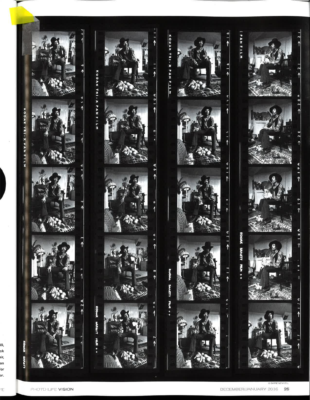

Æ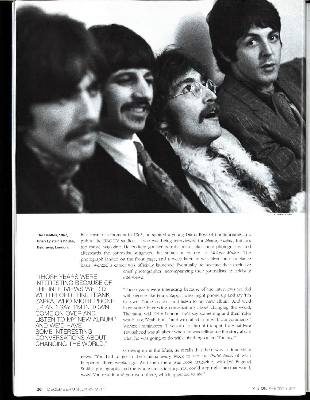

The Beatles, 1967, Brian Epstein's house, Belgravia, London.

In a fortuitous moment in 1965, he spotted a young Diana Ross of the Supremes in a pub at the BBC TV studios, as she was being interviewed for Melody Maker, Britain's top music magazine. He politely got her permission to take some photographs, and afterwards the journalist suggested he submit a picture to Melody Maker. The photograph landed on the front page, and a week later he was hired on a freelance basis. Wentzell's career was officially launched. Eventually he became their exclusive

"THOSE YEARS WERE **INTERESTING BECAUSE OF** THE INTERVIEWS WE DID WITH PEOPLE LIKE FRANK ZAPPA, WHO MIGHT PHONE UP AND SAY 'I'M IN TOWN. COME ON OVER AND LISTEN TO MY NEW ALBUM.' AND WE'D HAVE **SOME INTERESTING** CONVERSATIONS ABOUT **CHANGING THE WORLD."** 

chief photographer, accompanying their journalists to celebrity interviews.

"Those years were interesting because of the interviews we did with people like Frank Zappa, who might phone up and say Tm in town. Come on over and listen to my new album.' And we'd have some interesting conversations about changing the world. The same with John Lennon, he'd say something and then Yoko would say, 'Yeah, but...' and we'd all chip in with our comments," Wentzell reminisces. "It was an arts lab of thought. It's what Pete Townshend was all about when he was telling me the story about what he was going to do with this thing called 'Tommy,"

Growing up in the fifties, he recalls that there was no immediate news. "You had to go to the cinema every week to see the Pathé News of what happened three weeks ago. And then there was Look magazine, with [W. Eugene] Smith's photographs and the whole fantastic story. You could step right into that world, wow! You read it, and you were there, which appealed to me."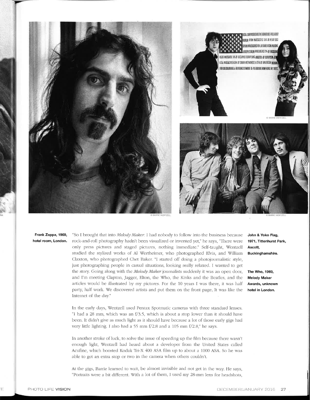

Frank Zappa, 1969, hotel room, London.

"So I brought that into Melody Maker. I had nobody to follow into the business because rock-and-roll photography hadn't been visualized or invented yet," he says, "There were only press pictures and staged pictures, nothing immediate." Self-taught, Wentzell studied the stylized works of Al Wertheimer, who photographed Elvis, and William Claxton, who photographed Chet Baker. "I started off doing a photojournalistic style, just photographing people in casual situations, looking really relaxed. I wanted to get the story. Going along with the Melody Maker journalists suddenly it was an open door, and I'm meeting Clapton, Jagger, Elton, the Who, the Kinks and the Beatles, and the articles would be illustrated by my pictures. For the 10 years I was there, it was half party, half work. We discovered artists and put them on the front page. It was like the Internet of the day."

In the early days, Wentzell used Pentax Spotmatic cameras with three standard lenses. "I had a 28 mm, which was an f/3.5, which is about a stop lower than it should have been. It didn't give as much light as it should have because a lot of those early gigs had very little lighting. I also had a 55 mm f/2.8 and a 105 mm f/2.8," he says.

In another stroke of luck, to solve the issue of speeding up the film because there wasn't enough light, Wentzell had heard about a developer from the United States called Acufine, which boosted Kodak Tri-X 400 ASA film up to about a 1000 ASA. So he was able to get an extra stop or two in the camera when others couldn't.

At the gigs, Barrie learned to wait, be almost invisible and not get in the way. He says, "Portraits were a bit different. With a lot of them, I used my 28-mm lens for headshots,

John & Yoko Flag, 1971, Tittenhurst Park, Ascott. Buckinghamshire.

The Who, 1969, **Melody Maker** Awards, unknown hotel in London.

Ē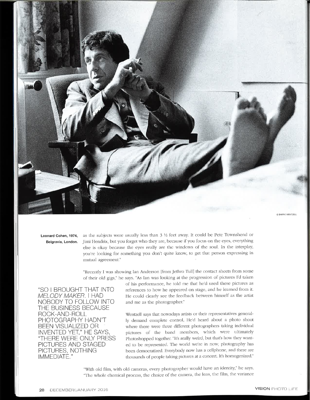

Leonard Cohen, 1974, Belgravia, London. as the subjects were usually less than  $3\frac{1}{2}$  feet away. It could be Pete Townshend or Jimi Hendrix, but you forget who they are, because if you focus on the eyes, everything else is okay because the eyes really are the windows of the soul. In the interplay, you're looking for something you don't quite know, to get that person expressing in mutual agreement."

"Recently I was showing Ian Anderson [from Jethro Tull] the contact sheets from some of their old gigs," he says. "As Ian was looking at the progression of pictures I'd taken

"SO I BROUGHT THAT INTO **MELODY MAKER. I HAD** NOBODY TO FOLLOW INTO THE BUSINESS BECAUSE ROCK-AND-ROLL PHOTOGRAPHY HADN'T **BEEN VISUALIZED OR INVENTED YET," HE SAYS** "THERE WERE ONLY PRESS PICTURES AND STAGED PICTURES, NOTHING IMMEDIATE."

of his performance, he told me that he'd used these pictures as references to how he appeared on stage, and he learned from it. He could clearly see the feedback between himself as the artist and me as the photographer."

Wentzell says that nowadays artists or their representatives generally demand complete control, He'd heard about a photo shoot where there were three different photographers taking individual pictures of the band members, which were ultimately Photoshopped together. "It's really weird, but that's how they wanted to be represented. The world we're in now, photography has been democratized. Everybody now has a cellphone, and there are thousands of people taking pictures at a concert. It's homogenized."

"With old film, with old cameras, every photographer would have an identity," he says. "The whole chemical process, the choice of the camera, the lens, the film, the variance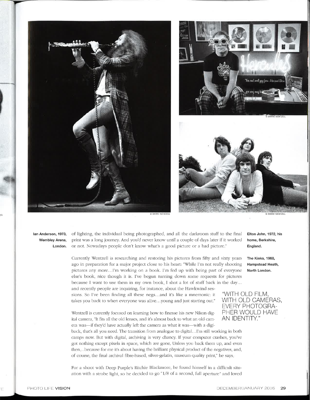





lan Anderson, 1973, Wembley Arena, London.

of lighting, the individual being photographed, and all the darkroom stuff to the final print was a long journey. And you'd never know until a couple of days later if it worked or not. Nowadays people don't know what's a good picture or a bad picture."

C BARRIE WENTZELL

Currently Wentzell is researching and restoring his pictures from fifty and sixty years ago in preparation for a major project close to his heart: "While I'm not really shooting pictures any more...I'm working on a book. I'm fed up with being part of everyone else's book, nice though it is. I've begun turning down some requests for pictures because I want to use them in my own book. I shot a lot of stuff back in the day... and recently people are inquiring, for instance, about the Hawkwind sessions. So I've been finding all these negs...and it's like a mnemonic: it takes you back to when everyone was alive...young and just starting out."

Wentzell is currently focused on learning how to finesse his new Nikon digital camera. "It fits all the old lenses, and it's almost back to what an old camera was—if they'd have actually left the camera as what it was—with a digi-

back, that's all you need. The transition from analogue to digital...I'm still working in both camps now. But with digital, archiving is very chancy. If your computer crashes, you've got nothing except pixels in space, which are gone. Unless you back them up, and even then. . because for me it's about having the brilliant physical product of the negatives, and, of course, the final archival fibre-based, silver-gelatin, museum-quality print," he says.

For a shoot with Deep Purple's Ritchie Blackmore, he found himself in a difficult situation with a strobe light, so he decided to go "1/8 of a second, full aperture" and loved Elton John, 1972, his home, Berkshire, England.

The Kinks, 1968, Hampstead Heath, North London.

"WITH OLD FILM, WITH OLD CAMERAS. **EVERY PHOTOGRA-**PHER WOULD HAVE AN IDENTITY."